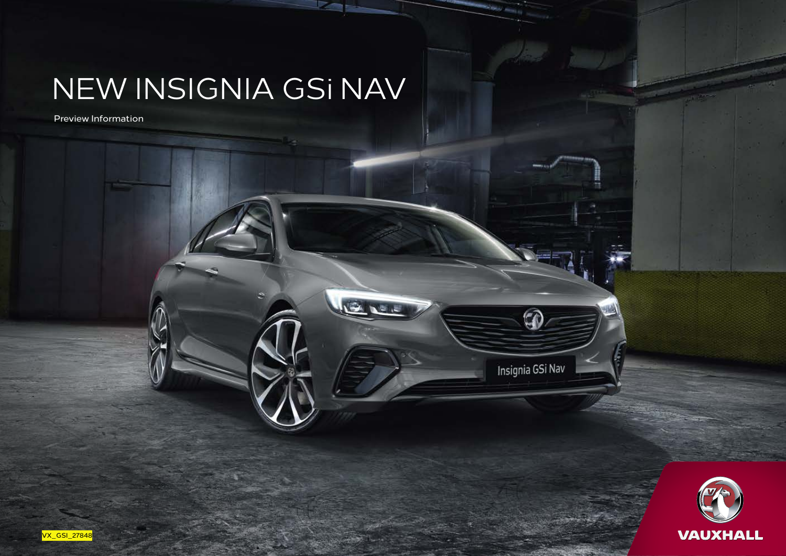## NEW INSIGNIA GSi NAV

Preview Information

Insignia GSi Nav

 $\widehat{C}$ 



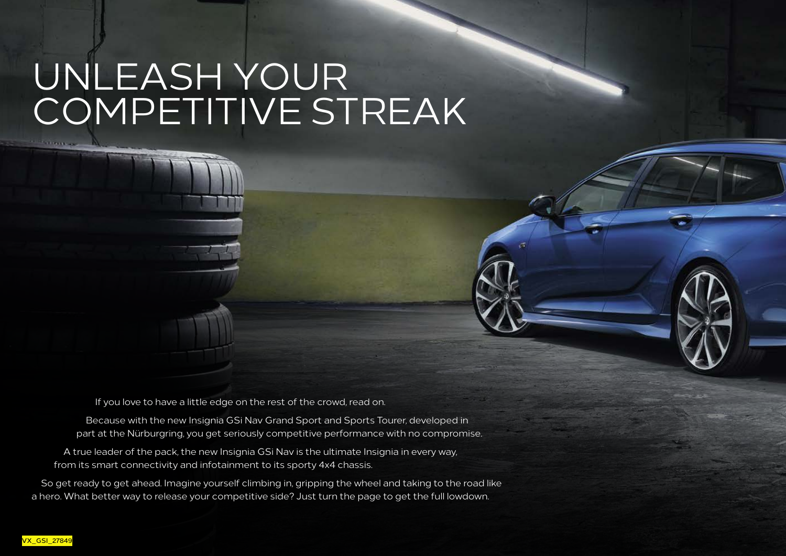# UNLEASH YOUR COMPETITIVE STREAK

If you love to have a little edge on the rest of the crowd, read on.

Because with the new Insignia GSi Nav Grand Sport and Sports Tourer, developed in part at the Nürburgring, you get seriously competitive performance with no compromise.

A true leader of the pack, the new Insignia GSi Nav is the ultimate Insignia in every way, from its smart connectivity and infotainment to its sporty 4x4 chassis.

So get ready to get ahead. Imagine yourself climbing in, gripping the wheel and taking to the road like a hero. What better way to release your competitive side? Just turn the page to get the full lowdown.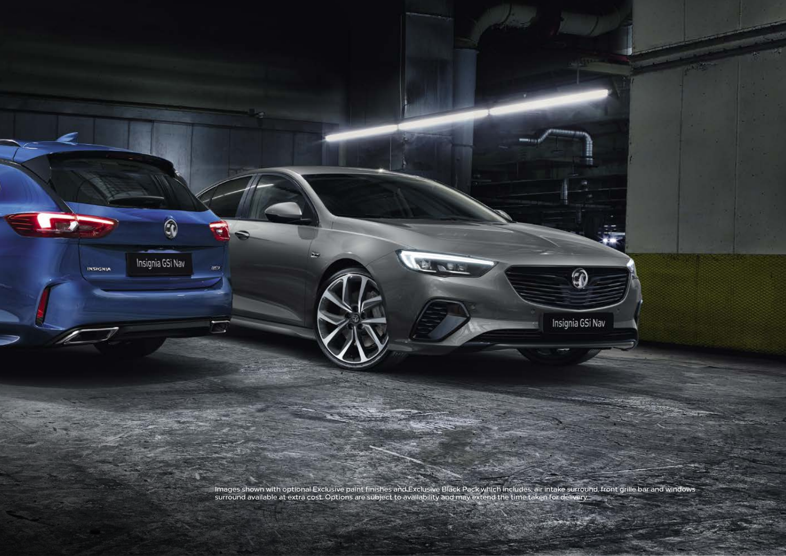